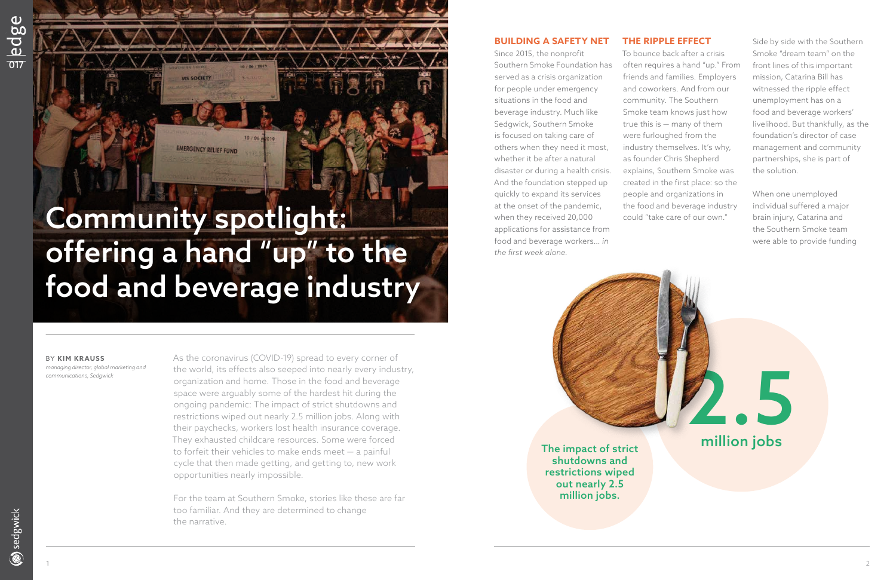## **BUILDING A SAFETY NET**

Since 2015, the nonprofit Southern Smoke Foundation has served as a crisis organization for people under emergency situations in the food and beverage industry. Much like Sedgwick, Southern Smoke is focused on taking care of others when they need it most, whether it be after a natural disaster or during a health crisis. And the foundation stepped up quickly to expand its services at the onset of the pandemic, when they received 20,000 applications for assistance from food and beverage workers… *in the first week alone.* 

### **THE RIPPLE EFFECT**

To bounce back after a crisis often requires a hand "up." From friends and families. Employers and coworkers. And from our community. The Southern Smoke team knows just how true this is — many of them were furloughed from the industry themselves. It's why, as founder Chris Shepherd explains, Southern Smoke was created in the first place: so the people and organizations in the food and beverage industry could "take care of our own."

Side by side with the Southern Smoke "dream team" on the front lines of this important mission, Catarina Bill has witnessed the ripple effect unemployment has on a food and beverage workers' livelihood. But thankfully, as the foundation's director of case management and community partnerships, she is part of the solution.

When one unemployed individual suffered a major brain injury, Catarina and the Southern Smoke team were able to provide funding

#### BY **KIM KRAUSS**

*managing director, global marketing and communications, Sedgwick*

As the coronavirus (COVID-19) spread to every corner of the world, its effects also seeped into nearly every industry, organization and home. Those in the food and beverage space were arguably some of the hardest hit during the ongoing pandemic: The impact of strict shutdowns and restrictions wiped out nearly 2.5 million jobs. Along with their paychecks, workers lost health insurance coverage. They exhausted childcare resources. Some were forced to forfeit their vehicles to make ends meet — a painful cycle that then made getting, and getting to, new work opportunities nearly impossible.

For the team at Southern Smoke, stories like these are far too familiar. And they are determined to change the narrative.



shutdowns and restrictions wiped out nearly 2.5 million jobs.

# Community spotlight: offering a hand "up" to the food and beverage industry

**EMERGENCY RELIEF FUND**